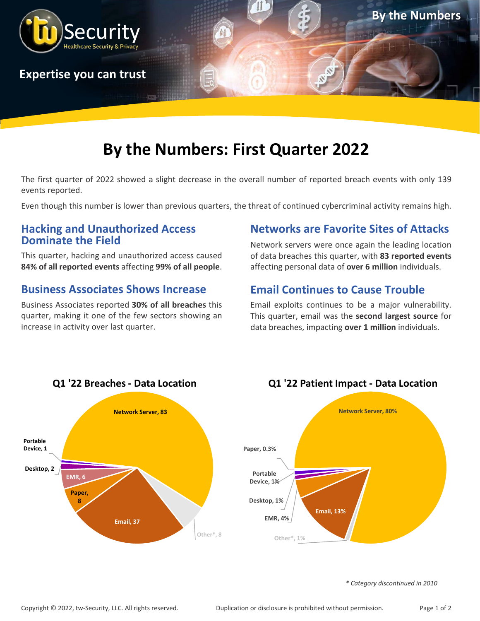

## **By the Numbers: First Quarter 2022**

The first quarter of 2022 showed a slight decrease in the overall number of reported breach events with only 139 events reported.

Even though this number is lower than previous quarters, the threat of continued cybercriminal activity remains high.

#### **Hacking and Unauthorized Access Dominate the Field**

This quarter, hacking and unauthorized access caused **84% of all reported events** affecting **99% of all people**.

#### **Business Associates Shows Increase**

Business Associates reported **30% of all breaches** this quarter, making it one of the few sectors showing an increase in activity over last quarter.

#### **Networks are Favorite Sites of Attacks**

Network servers were once again the leading location of data breaches this quarter, with **83 reported events** affecting personal data of **over 6 million** individuals.

### **Email Continues to Cause Trouble**

Email exploits continues to be a major vulnerability. This quarter, email was the **second largest source** for data breaches, impacting **over 1 million** individuals.







*\* Category discontinued in 2010*